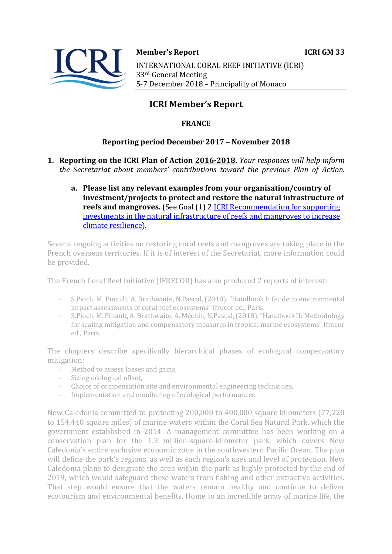

**Member's Report ICRI GM 33** INTERNATIONAL CORAL REEF INITIATIVE (ICRI) 33<sup>rd</sup> General Meeting 5-7 December 2018 – Principality of Monaco

# **ICRI Member's Report**

# **FRANCE**

# **Reporting period December 2017 - November 2018**

- **1. Reporting on the ICRI Plan of Action 2016-2018.** *Your responses will help inform the Secretariat about members' contributions toward the previous Plan of Action.* 
	- a. Please list any relevant examples from your organisation/country of investment/projects to protect and restore the natural infrastructure of **reefs and mangroves.** (See Goal (1) 2 ICRI Recommendation for supporting investments in the natural infrastructure of reefs and mangroves to increase climate resilience).

Several ongoing activities on restoring coral reefs and mangroves are taking place in the French overseas territories. If it is of interest of the Secretariat, more information could be provided.

The French Coral Reef Initiative (IFRECOR) has also produced 2 reports of interest:

- S.Pioch, M. Pinault, A. Brathwaite, N.Pascal, (2018). "Handbook I: Guide to environmental impact assessments of coral reef ecosystems" Ifrecor ed., Paris.
- S.Pioch, M. Pinault, A. Brathwaite, A. Méchin, N.Pascal, (2018). "Handbook II: Methodology for scaling mitigation and compensatory measures in tropical marine ecosystems" Ifrecor ed., Paris.

The chapters describe specifically hierarchical phases of ecological compensatory mitigation:

- Method to assess losses and gains,
- Sizing ecological offset,
- Choice of compensation site and environmental engineering techniques,
- Implementation and monitoring of ecological performances.

New Caledonia committed to protecting 200,000 to 400,000 square kilometers (77,220 to 154,440 square miles) of marine waters within the Coral Sea Natural Park, which the government established in 2014. A management committee has been working on a conservation plan for the 1.3 million-square-kilometer park, which covers New Caledonia's entire exclusive economic zone in the southwestern Pacific Ocean. The plan will define the park's regions, as well as each region's uses and level of protection. New Caledonia plans to designate the area within the park as highly protected by the end of 2019, which would safeguard these waters from fishing and other extractive activities. That step would ensure that the waters remain healthy and continue to deliver ecotourism and environmental benefits. Home to an incredible array of marine life, the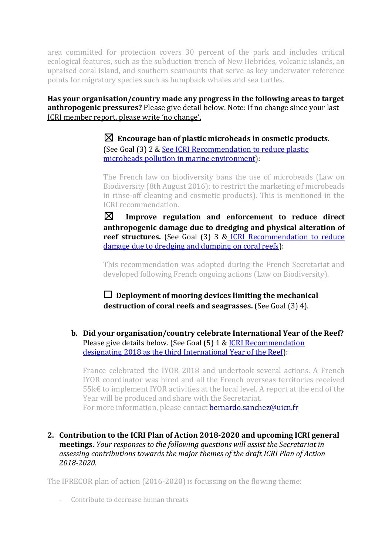area committed for protection covers 30 percent of the park and includes critical ecological features, such as the subduction trench of New Hebrides, volcanic islands, an upraised coral island, and southern seamounts that serve as key underwater reference points for migratory species such as humpback whales and sea turtles.

Has your organisation/country made any progress in the following areas to target anthropogenic pressures? Please give detail below. Note: If no change since your last ICRI member report, please write 'no change'.

> $\boxtimes$  Encourage ban of plastic microbeads in cosmetic products. (See Goal (3) 2 & See ICRI Recommendation to reduce plastic microbeads pollution in marine environment):

The French law on biodiversity bans the use of microbeads (Law on Biodiversity (8th August 2016): to restrict the marketing of microbeads in rinse-off cleaning and cosmetic products). This is mentioned in the ICRI recommendation.

 $\boxtimes$  Improve regulation and enforcement to reduce direct anthropogenic damage due to dredging and physical alteration of reef structures. (See Goal (3) 3 & ICRI Recommendation to reduce damage due to dredging and dumping on coral reefs):

This recommendation was adopted during the French Secretariat and developed following French ongoing actions (Law on Biodiversity).

 $\Box$  Deployment of mooring devices limiting the mechanical **destruction of coral reefs and seagrasses.** (See Goal (3) 4).

**b.** Did your organisation/country celebrate International Year of the Reef? Please give details below. (See Goal (5) 1 & ICRI Recommendation designating 2018 as the third International Year of the Reef):

France celebrated the IYOR 2018 and undertook several actions. A French IYOR coordinator was hired and all the French overseas territories received 55 $k€$  to implement IYOR activities at the local level. A report at the end of the Year will be produced and share with the Secretariat. For more information, please contact **bernardo.sanchez@uicn.fr** 

# 2. Contribution to the ICRI Plan of Action 2018-2020 and upcoming ICRI general **meetings.** *Your responses to the following questions will assist the Secretariat in* assessing contributions towards the major themes of the draft ICRI Plan of Action *2018-2020.*

The IFRECOR plan of action  $(2016-2020)$  is focussing on the flowing theme:

- Contribute to decrease human threats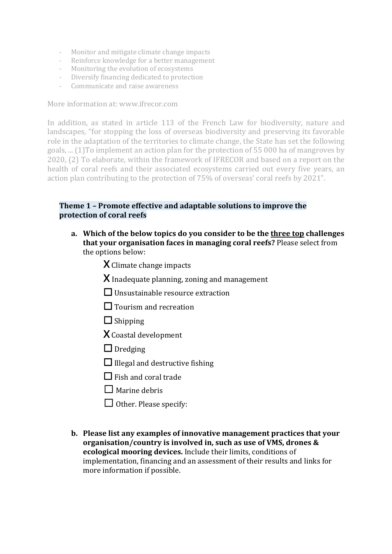- Monitor and mitigate climate change impacts
- Reinforce knowledge for a better management
- Monitoring the evolution of ecosystems
- Diversify financing dedicated to protection
- Communicate and raise awareness

More information at: www.ifrecor.com

In addition, as stated in article 113 of the French Law for biodiversity, nature and landscapes, "for stopping the loss of overseas biodiversity and preserving its favorable role in the adaptation of the territories to climate change, the State has set the following goals, ... (1) To implement an action plan for the protection of 55 000 ha of mangroves by 2020, (2) To elaborate, within the framework of IFRECOR and based on a report on the health of coral reefs and their associated ecosystems carried out every five years, an action plan contributing to the protection of 75% of overseas' coral reefs by 2021".

#### **Theme 1 - Promote effective and adaptable solutions to improve the protection of coral reefs**

a. Which of the below topics do you consider to be the three top challenges **that your organisation faces in managing coral reefs?** Please select from the options below:

 $X$  Climate change impacts

- $X$  Inadequate planning, zoning and management
- $\Box$  Unsustainable resource extraction
- $\Box$  Tourism and recreation
- ☐ Shipping
- X Coastal development
- $\Box$  Dredging
- $\Box$  Illegal and destructive fishing
- $\Box$  Fish and coral trade
- $\Box$  Marine debris
- $\Box$  Other. Please specify:
- **b.** Please list any examples of innovative management practices that your organisation/country is involved in, such as use of VMS, drones & **ecological mooring devices.** Include their limits, conditions of implementation, financing and an assessment of their results and links for more information if possible.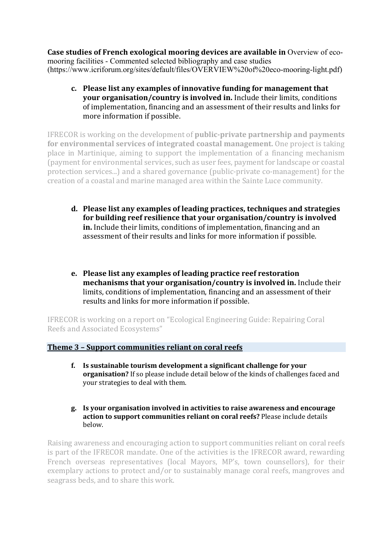**Case studies of French exological mooring devices are available in** Overview of ecomooring facilities - Commented selected bibliography and case studies (https://www.icriforum.org/sites/default/files/OVERVIEW%20of%20eco-mooring-light.pdf)

c. Please list any examples of innovative funding for management that **your organisation/country is involved in.** Include their limits, conditions of implementation, financing and an assessment of their results and links for more information if possible.

**IFRECOR** is working on the development of **public-private partnership and payments for environmental services of integrated coastal management.** One project is taking place in Martinique, aiming to support the implementation of a financing mechanism (payment for environmental services, such as user fees, payment for landscape or coastal protection services...) and a shared governance (public-private co-management) for the creation of a coastal and marine managed area within the Sainte Luce community.

- d. Please list any examples of leading practices, techniques and strategies for building reef resilience that your organisation/country is involved **in.** Include their limits, conditions of implementation, financing and an assessment of their results and links for more information if possible.
- **e.** Please list any examples of leading practice reef restoration **mechanisms that your organisation/country is involved in.** Include their limits, conditions of implementation, financing and an assessment of their results and links for more information if possible.

IFRECOR is working on a report on "Ecological Engineering Guide: Repairing Coral Reefs and Associated Ecosystems"

### **Theme 3 - Support communities reliant on coral reefs**

- f. Is sustainable tourism development a significant challenge for your **organisation?** If so please include detail below of the kinds of challenges faced and your strategies to deal with them.
- **g.** Is your organisation involved in activities to raise awareness and encourage **action to support communities reliant on coral reefs?** Please include details below.

Raising awareness and encouraging action to support communities reliant on coral reefs is part of the IFRECOR mandate. One of the activities is the IFRECOR award, rewarding French overseas representatives (local Mayors, MP's, town counsellors), for their exemplary actions to protect and/or to sustainably manage coral reefs, mangroves and seagrass beds, and to share this work.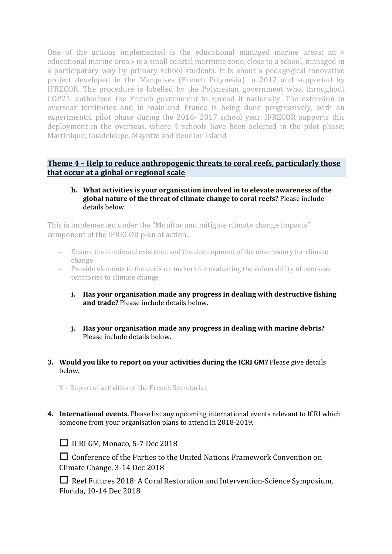One of the actions implemented is the educational managed marine areas: an « educational marine area » is a small coastal maritime zone, close to a school, managed in a participatory way by primary school students. It is about a pedagogical innovative project developed in the Marquises (French Polynesia) in 2012 and supported by IFRECOR. The procedure is labelled by the Polynesian government who, throughout COP21, authorized the French government to spread it nationally. The extension in overseas territories and in mainland France is being done progressively, with an experimental pilot phase during the 2016- 2017 school year. IFRECOR supports this deployment in the overseas, where 4 schools have been selected in the pilot phase: Martinique, Guadeloupe, Mayotte and Reunion Island.

# **Theme 4 - Help to reduce anthropogenic threats to coral reefs, particularly those that occur at a global or regional scale**

#### **h.** What activities is your organisation involved in to elevate awareness of the **global nature of the threat of climate change to coral reefs?** Please include details below

This is implemented under the "Monitor and mitigate climate change impacts" component of the IFRECOR plan of action.

- Ensure the continued existence and the development of the observatory for climate change
- Provide elements to the decision makers for evaluating the vulnerability of overseas territories to climate change
	- **i.** Has your organisation made any progress in dealing with destructive fishing and trade? Please include details below.
	- **j.** Has vour organisation made any progress in dealing with marine debris? Please include details below
- **3.** Would you like to report on your activities during the ICRI GM? Please give details below.

Y - Report of activities of the French Secretariat

**4.** International events. Please list any upcoming international events relevant to ICRI which someone from your organisation plans to attend in 2018-2019.

□ ICRI GM, Monaco, 5-7 Dec 2018

□ Conference of the Parties to the United Nations Framework Convention on Climate Change, 3-14 Dec 2018

□ Reef Futures 2018: A Coral Restoration and Intervention-Science Symposium, Florida, 10-14 Dec 2018